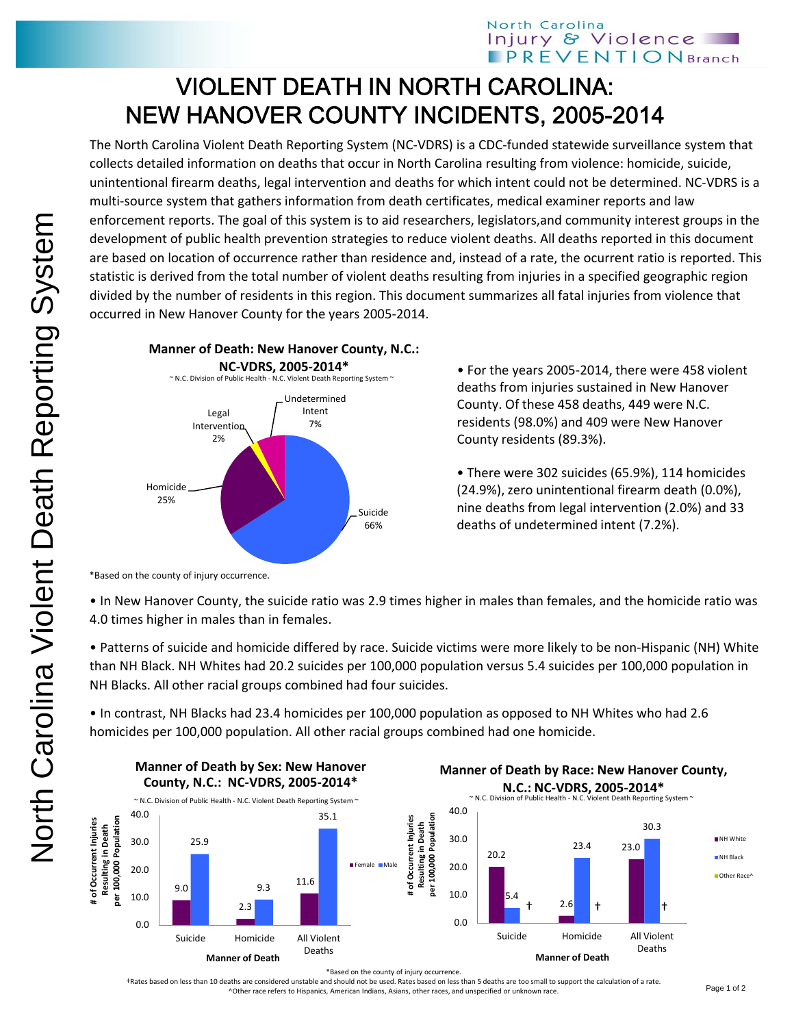## VIOLENT DEATH IN NORTH CAROLINA: NEW HANOVER COUNTY INCIDENTS, 2005-2014

The North Carolina Violent Death Reporting System (NC‐VDRS) is a CDC‐funded statewide surveillance system that collects detailed information on deaths that occur in North Carolina resulting from violence: homicide, suicide, unintentional firearm deaths, legal intervention and deaths for which intent could not be determined. NC‐VDRS is a multi-source system that gathers information from death certificates, medical examiner reports and law enforcement reports. The goal of this system is to aid researchers, legislators,and community interest groups in the development of public health prevention strategies to reduce violent deaths. All deaths reported in this document are based on location of occurrence rather than residence and, instead of a rate, the ocurrent ratio is reported. This statistic is derived from the total number of violent deaths resulting from injuries in a specified geographic region divided by the number of residents in this region. This document summarizes all fatal injuries from violence that occurred in New Hanover County for the years 2005‐2014.



• For the years 2005‐2014, there were 458 violent deaths from injuries sustained in New Hanover County. Of these 458 deaths, 449 were N.C. residents (98.0%) and 409 were New Hanover County residents (89.3%).

• There were 302 suicides (65.9%), 114 homicides (24.9%), zero unintentional firearm death (0.0%), nine deaths from legal intervention (2.0%) and 33 deaths of undetermined intent (7.2%).

\*Based on the county of injury occurrence.

• In New Hanover County, the suicide ratio was 2.9 times higher in males than females, and the homicide ratio was 4.0 times higher in males than in females.

• Patterns of suicide and homicide differed by race. Suicide victims were more likely to be non‐Hispanic (NH) White than NH Black. NH Whites had 20.2 suicides per 100,000 population versus 5.4 suicides per 100,000 population in NH Blacks. All other racial groups combined had four suicides.

• In contrast, NH Blacks had 23.4 homicides per 100,000 population as opposed to NH Whites who had 2.6 homicides per 100,000 population. All other racial groups combined had one homicide.



†Rates based on less than 10 deaths are considered unstable and should not be used. Rates based on less than 5 deaths are too small to support the calculation of a rate. ^Other race refers to Hispanics, American Indians, Asians, other races, and unspecified or unknown race.

**NH** White NH Black Other Race<sup></sup>